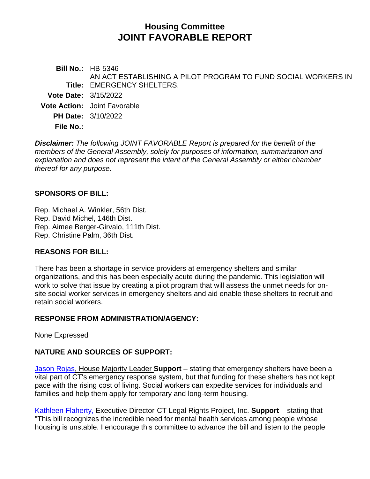# **Housing Committee JOINT FAVORABLE REPORT**

**Bill No.:** HB-5346 **Title:** EMERGENCY SHELTERS. AN ACT ESTABLISHING A PILOT PROGRAM TO FUND SOCIAL WORKERS IN **Vote Date:** 3/15/2022 **Vote Action:** Joint Favorable **PH Date:** 3/10/2022 **File No.:**

*Disclaimer: The following JOINT FAVORABLE Report is prepared for the benefit of the members of the General Assembly, solely for purposes of information, summarization and explanation and does not represent the intent of the General Assembly or either chamber thereof for any purpose.*

## **SPONSORS OF BILL:**

Rep. Michael A. Winkler, 56th Dist. Rep. David Michel, 146th Dist. Rep. Aimee Berger-Girvalo, 111th Dist. Rep. Christine Palm, 36th Dist.

## **REASONS FOR BILL:**

There has been a shortage in service providers at emergency shelters and similar organizations, and this has been especially acute during the pandemic. This legislation will work to solve that issue by creating a pilot program that will assess the unmet needs for onsite social worker services in emergency shelters and aid enable these shelters to recruit and retain social workers.

## **RESPONSE FROM ADMINISTRATION/AGENCY:**

None Expressed

## **NATURE AND SOURCES OF SUPPORT:**

[Jason Rojas,](https://www.cga.ct.gov/2022/hsgdata/tmy/2022HB-05346-R000310-Rojas,%20Jason,%20Rep.-TMY.PDF) House Majority Leader **Support** – stating that emergency shelters have been a vital part of CT's emergency response system, but that funding for these shelters has not kept pace with the rising cost of living. Social workers can expedite services for individuals and families and help them apply for temporary and long-term housing.

[Kathleen Flaherty,](https://www.cga.ct.gov/2022/hsgdata/tmy/2022HB-05346-R000310-Flaherty,%20Esq.,%20Kathleen,%20Executive%20Director-CT%20Legal%20Rights%20Project,%20Inc.-TMY.PDF) Executive Director-CT Legal Rights Project, Inc. **Support** – stating that "This bill recognizes the incredible need for mental health services among people whose housing is unstable. I encourage this committee to advance the bill and listen to the people